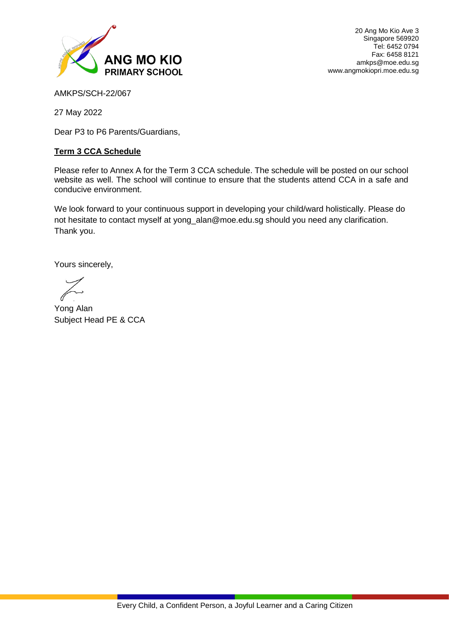

20 Ang Mo Kio Ave 3 Singapore 569920 Tel: 6452 0794 Fax: 6458 8121 amkps@moe.edu.sg www.angmokiopri.moe.edu.sg

AMKPS/SCH-22/067

27 May 2022

Dear P3 to P6 Parents/Guardians,

## **Term 3 CCA Schedule**

Please refer to Annex A for the Term 3 CCA schedule. The schedule will be posted on our school website as well. The school will continue to ensure that the students attend CCA in a safe and conducive environment.

We look forward to your continuous support in developing your child/ward holistically. Please do not hesitate to contact myself at yong\_alan@moe.edu.sg should you need any clarification. Thank you.

Yours sincerely,

j

Yong Alan Subject Head PE & CCA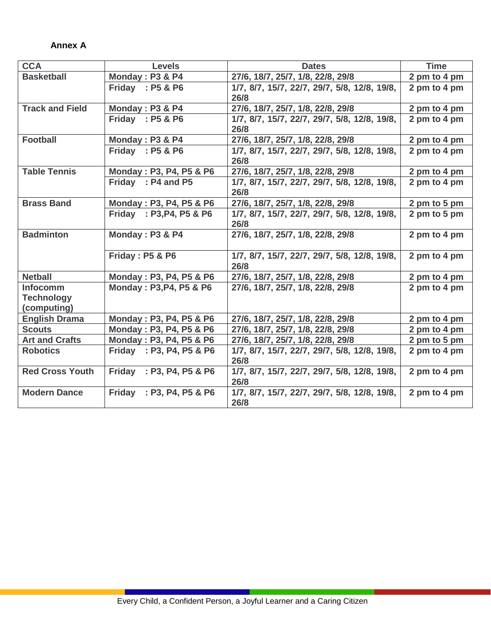## **Annex A**

I

| <b>CCA</b>             | <b>Levels</b>              | <b>Dates</b>                                 | <b>Time</b>  |
|------------------------|----------------------------|----------------------------------------------|--------------|
| <b>Basketball</b>      | Monday: P3 & P4            | 27/6, 18/7, 25/7, 1/8, 22/8, 29/8            | 2 pm to 4 pm |
|                        | Friday: P5 & P6            | 1/7, 8/7, 15/7, 22/7, 29/7, 5/8, 12/8, 19/8, | 2 pm to 4 pm |
|                        |                            | 26/8                                         |              |
| <b>Track and Field</b> | Monday: P3 & P4            | 27/6, 18/7, 25/7, 1/8, 22/8, 29/8            | 2 pm to 4 pm |
|                        | Friday: P5 & P6            | 1/7, 8/7, 15/7, 22/7, 29/7, 5/8, 12/8, 19/8, | 2 pm to 4 pm |
|                        |                            | 26/8                                         |              |
| <b>Football</b>        | Monday: P3 & P4            | 27/6, 18/7, 25/7, 1/8, 22/8, 29/8            | 2 pm to 4 pm |
|                        | Friday: P5 & P6            | 1/7, 8/7, 15/7, 22/7, 29/7, 5/8, 12/8, 19/8, | 2 pm to 4 pm |
|                        |                            | 26/8                                         |              |
| <b>Table Tennis</b>    | Monday: P3, P4, P5 & P6    | 27/6, 18/7, 25/7, 1/8, 22/8, 29/8            | 2 pm to 4 pm |
|                        | Friday: P4 and P5          | 1/7, 8/7, 15/7, 22/7, 29/7, 5/8, 12/8, 19/8, | 2 pm to 4 pm |
|                        |                            | 26/8                                         |              |
| <b>Brass Band</b>      | Monday: P3, P4, P5 & P6    | 27/6, 18/7, 25/7, 1/8, 22/8, 29/8            | 2 pm to 5 pm |
|                        | Friday : P3, P4, P5 & P6   | 1/7, 8/7, 15/7, 22/7, 29/7, 5/8, 12/8, 19/8, | 2 pm to 5 pm |
|                        |                            | 26/8                                         |              |
| <b>Badminton</b>       | Monday: P3 & P4            | 27/6, 18/7, 25/7, 1/8, 22/8, 29/8            | 2 pm to 4 pm |
|                        |                            |                                              |              |
|                        | <b>Friday: P5 &amp; P6</b> | 1/7, 8/7, 15/7, 22/7, 29/7, 5/8, 12/8, 19/8, | 2 pm to 4 pm |
|                        |                            | 26/8                                         |              |
| <b>Netball</b>         | Monday: P3, P4, P5 & P6    | 27/6, 18/7, 25/7, 1/8, 22/8, 29/8            | 2 pm to 4 pm |
| Infocomm               | Monday: P3, P4, P5 & P6    | 27/6, 18/7, 25/7, 1/8, 22/8, 29/8            | 2 pm to 4 pm |
| <b>Technology</b>      |                            |                                              |              |
| (computing)            |                            |                                              |              |
| <b>English Drama</b>   | Monday: P3, P4, P5 & P6    | 27/6, 18/7, 25/7, 1/8, 22/8, 29/8            | 2 pm to 4 pm |
| <b>Scouts</b>          | Monday: P3, P4, P5 & P6    | 27/6, 18/7, 25/7, 1/8, 22/8, 29/8            | 2 pm to 4 pm |
| <b>Art and Crafts</b>  | Monday: P3, P4, P5 & P6    | 27/6, 18/7, 25/7, 1/8, 22/8, 29/8            | 2 pm to 5 pm |
| <b>Robotics</b>        | Friday : P3, P4, P5 & P6   | 1/7, 8/7, 15/7, 22/7, 29/7, 5/8, 12/8, 19/8, | 2 pm to 4 pm |
|                        |                            | 26/8                                         |              |
| <b>Red Cross Youth</b> | Friday : P3, P4, P5 & P6   | 1/7, 8/7, 15/7, 22/7, 29/7, 5/8, 12/8, 19/8, | 2 pm to 4 pm |
|                        |                            | 26/8                                         |              |
| <b>Modern Dance</b>    | Friday : P3, P4, P5 & P6   | 1/7, 8/7, 15/7, 22/7, 29/7, 5/8, 12/8, 19/8, | 2 pm to 4 pm |
|                        |                            | 26/8                                         |              |